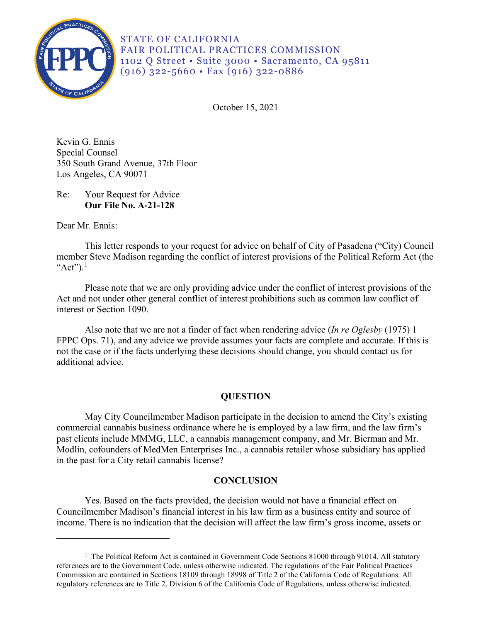

STATE OF CALIFORNIA FAIR POLITICAL PRACTICES COMMISSION 1102 Q Street • Suite 3000 • Sacramento, CA 95811 (916) 322-5660 • Fax (916) 322-0886

October 15, 2021

Kevin G. Ennis Special Counsel 350 South Grand Avenue, 37th Floor Los Angeles, CA 90071

Re: Your Request for Advice **Our File No. A-21-128** 

Dear Mr. Ennis:

This letter responds to your request for advice on behalf of City of Pasadena ("City) Council member Steve Madison regarding the conflict of interest provisions of the Political Reform Act (the " $Act$ ").<sup>1</sup>

 Act and not under other general conflict of interest prohibitions such as common law conflict of Please note that we are only providing advice under the conflict of interest provisions of the interest or Section 1090.

 additional advice. Also note that we are not a finder of fact when rendering advice (*In re Oglesby* (1975) 1 FPPC Ops. 71), and any advice we provide assumes your facts are complete and accurate. If this is not the case or if the facts underlying these decisions should change, you should contact us for

# **QUESTION**

May City Councilmember Madison participate in the decision to amend the City's existing commercial cannabis business ordinance where he is employed by a law firm, and the law firm's past clients include MMMG, LLC, a cannabis management company, and Mr. Bierman and Mr. Modlin, cofounders of MedMen Enterprises Inc., a cannabis retailer whose subsidiary has applied in the past for a City retail cannabis license?

# **CONCLUSION**

Yes. Based on the facts provided, the decision would not have a financial effect on Councilmember Madison's financial interest in his law firm as a business entity and source of income. There is no indication that the decision will affect the law firm's gross income, assets or

<span id="page-0-0"></span><sup>&</sup>lt;sup>1</sup> The Political Reform Act is contained in Government Code Sections 81000 through 91014. All statutory references are to the Government Code, unless otherwise indicated. The regulations of the Fair Political Practices Commission are contained in Sections 18109 through 18998 of Title 2 of the California Code of Regulations. All regulatory references are to Title 2, Division 6 of the California Code of Regulations, unless otherwise indicated.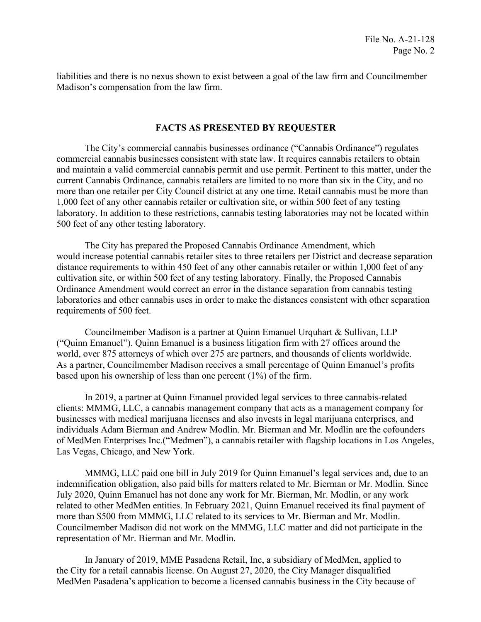liabilities and there is no nexus shown to exist between a goal of the law firm and Councilmember Madison's compensation from the law firm.

#### **FACTS AS PRESENTED BY REQUESTER**

The City's commercial cannabis businesses ordinance ("Cannabis Ordinance") regulates commercial cannabis businesses consistent with state law. It requires cannabis retailers to obtain and maintain a valid commercial cannabis permit and use permit. Pertinent to this matter, under the current Cannabis Ordinance, cannabis retailers are limited to no more than six in the City, and no more than one retailer per City Council district at any one time. Retail cannabis must be more than 1,000 feet of any other cannabis retailer or cultivation site, or within 500 feet of any testing laboratory. In addition to these restrictions, cannabis testing laboratories may not be located within 500 feet of any other testing laboratory.

 requirements of 500 feet. The City has prepared the Proposed Cannabis Ordinance Amendment, which would increase potential cannabis retailer sites to three retailers per District and decrease separation distance requirements to within 450 feet of any other cannabis retailer or within 1,000 feet of any cultivation site, or within 500 feet of any testing laboratory. Finally, the Proposed Cannabis Ordinance Amendment would correct an error in the distance separation from cannabis testing laboratories and other cannabis uses in order to make the distances consistent with other separation

 based upon his ownership of less than one percent (1%) of the firm. Councilmember Madison is a partner at Quinn Emanuel Urquhart & Sullivan, LLP ("Quinn Emanuel"). Quinn Emanuel is a business litigation firm with 27 offices around the world, over 875 attorneys of which over 275 are partners, and thousands of clients worldwide. As a partner, Councilmember Madison receives a small percentage of Quinn Emanuel's profits

 clients: MMMG, LLC, a cannabis management company that acts as a management company for Las Vegas, Chicago, and New York. In 2019, a partner at Quinn Emanuel provided legal services to three cannabis-related businesses with medical marijuana licenses and also invests in legal marijuana enterprises, and individuals Adam Bierman and Andrew Modlin. Mr. Bierman and Mr. Modlin are the cofounders of MedMen Enterprises Inc.("Medmen"), a cannabis retailer with flagship locations in Los Angeles,

MMMG, LLC paid one bill in July 2019 for Quinn Emanuel's legal services and, due to an indemnification obligation, also paid bills for matters related to Mr. Bierman or Mr. Modlin. Since July 2020, Quinn Emanuel has not done any work for Mr. Bierman, Mr. Modlin, or any work related to other MedMen entities. In February 2021, Quinn Emanuel received its final payment of more than \$500 from MMMG, LLC related to its services to Mr. Bierman and Mr. Modlin. Councilmember Madison did not work on the MMMG, LLC matter and did not participate in the representation of Mr. Bierman and Mr. Modlin.

In January of 2019, MME Pasadena Retail, Inc, a subsidiary of MedMen, applied to the City for a retail cannabis license. On August 27, 2020, the City Manager disqualified MedMen Pasadena's application to become a licensed cannabis business in the City because of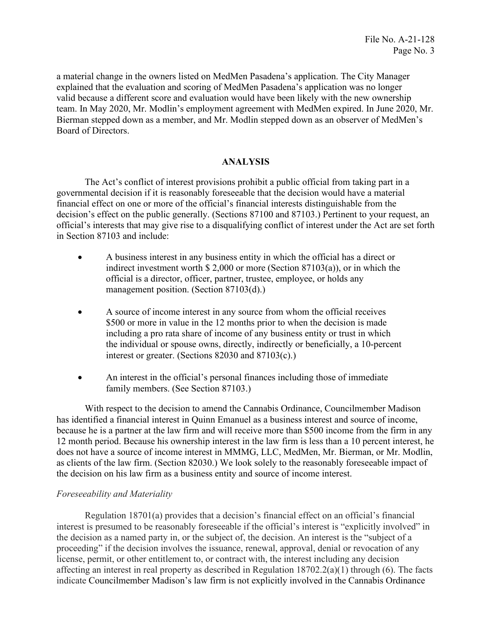valid because a different score and evaluation would have been likely with the new ownership a material change in the owners listed on MedMen Pasadena's application. The City Manager explained that the evaluation and scoring of MedMen Pasadena's application was no longer team. In May 2020, Mr. Modlin's employment agreement with MedMen expired. In June 2020, Mr. Bierman stepped down as a member, and Mr. Modlin stepped down as an observer of MedMen's Board of Directors.

### **ANALYSIS**

The Act's conflict of interest provisions prohibit a public official from taking part in a governmental decision if it is reasonably foreseeable that the decision would have a material financial effect on one or more of the official's financial interests distinguishable from the decision's effect on the public generally. (Sections 87100 and 87103.) Pertinent to your request, an official's interests that may give rise to a disqualifying conflict of interest under the Act are set forth in Section 87103 and include:

- • A business interest in any business entity in which the official has a direct or indirect investment worth \$ 2,000 or more (Section 87103(a)), or in which the official is a director, officer, partner, trustee, employee, or holds any management position. (Section 87103(d).)
- A source of income interest in any source from whom the official receives \$500 or more in value in the 12 months prior to when the decision is made including a pro rata share of income of any business entity or trust in which the individual or spouse owns, directly, indirectly or beneficially, a 10-percent interest or greater. (Sections 82030 and 87103(c).)
- family members. (See Section 87103.) • An interest in the official's personal finances including those of immediate

With respect to the decision to amend the Cannabis Ordinance, Councilmember Madison has identified a financial interest in Quinn Emanuel as a business interest and source of income, because he is a partner at the law firm and will receive more than \$500 income from the firm in any 12 month period. Because his ownership interest in the law firm is less than a 10 percent interest, he does not have a source of income interest in MMMG, LLC, MedMen, Mr. Bierman, or Mr. Modlin, as clients of the law firm. (Section 82030.) We look solely to the reasonably foreseeable impact of the decision on his law firm as a business entity and source of income interest.

### *Foreseeability and Materiality*

Regulation 18701(a) provides that a decision's financial effect on an official's financial interest is presumed to be reasonably foreseeable if the official's interest is "explicitly involved" in the decision as a named party in, or the subject of, the decision. An interest is the "subject of a proceeding" if the decision involves the issuance, renewal, approval, denial or revocation of any license, permit, or other entitlement to, or contract with, the interest including any decision affecting an interest in real property as described in Regulation 18702.2(a)(1) through (6). The facts indicate Councilmember Madison's law firm is not explicitly involved in the Cannabis Ordinance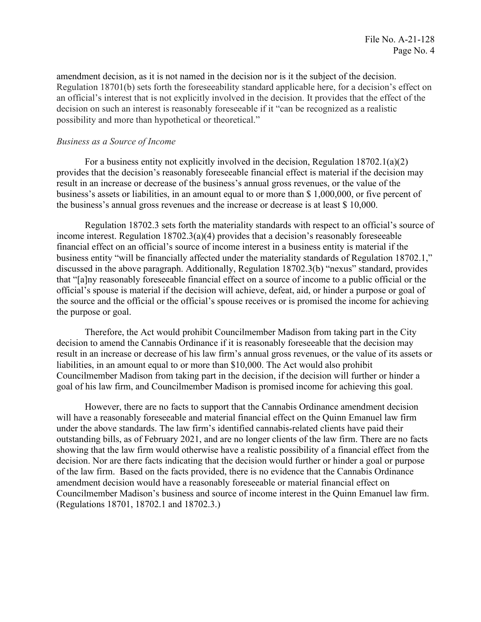Regulation 18701(b) sets forth the foreseeability standard applicable here, for a decision's effect on an official's interest that is not explicitly involved in the decision. It provides that the effect of the possibility and more than hypothetical or theoretical." amendment decision, as it is not named in the decision nor is it the subject of the decision. decision on such an interest is reasonably foreseeable if it "can be recognized as a realistic

#### *Business as a Source of Income*

For a business entity not explicitly involved in the decision, Regulation  $18702.1(a)(2)$ provides that the decision's reasonably foreseeable financial effect is material if the decision may result in an increase or decrease of the business's annual gross revenues, or the value of the business's assets or liabilities, in an amount equal to or more than \$ 1,000,000, or five percent of the business's annual gross revenues and the increase or decrease is at least \$ 10,000.

the purpose or goal. Regulation 18702.3 sets forth the materiality standards with respect to an official's source of income interest. Regulation 18702.3(a)(4) provides that a decision's reasonably foreseeable financial effect on an official's source of income interest in a business entity is material if the business entity "will be financially affected under the materiality standards of Regulation 18702.1," discussed in the above paragraph. Additionally, Regulation 18702.3(b) "nexus" standard, provides that "[a]ny reasonably foreseeable financial effect on a source of income to a public official or the official's spouse is material if the decision will achieve, defeat, aid, or hinder a purpose or goal of the source and the official or the official's spouse receives or is promised the income for achieving

 result in an increase or decrease of his law firm's annual gross revenues, or the value of its assets or Councilmember Madison from taking part in the decision, if the decision will further or hinder a Therefore, the Act would prohibit Councilmember Madison from taking part in the City decision to amend the Cannabis Ordinance if it is reasonably foreseeable that the decision may liabilities, in an amount equal to or more than \$10,000. The Act would also prohibit goal of his law firm, and Councilmember Madison is promised income for achieving this goal.

 outstanding bills, as of February 2021, and are no longer clients of the law firm. There are no facts of the law firm. Based on the facts provided, there is no evidence that the Cannabis Ordinance amendment decision would have a reasonably foreseeable or material financial effect on However, there are no facts to support that the Cannabis Ordinance amendment decision will have a reasonably foreseeable and material financial effect on the Quinn Emanuel law firm under the above standards. The law firm's identified cannabis-related clients have paid their showing that the law firm would otherwise have a realistic possibility of a financial effect from the decision. Nor are there facts indicating that the decision would further or hinder a goal or purpose Councilmember Madison's business and source of income interest in the Quinn Emanuel law firm. (Regulations 18701, 18702.1 and 18702.3.)